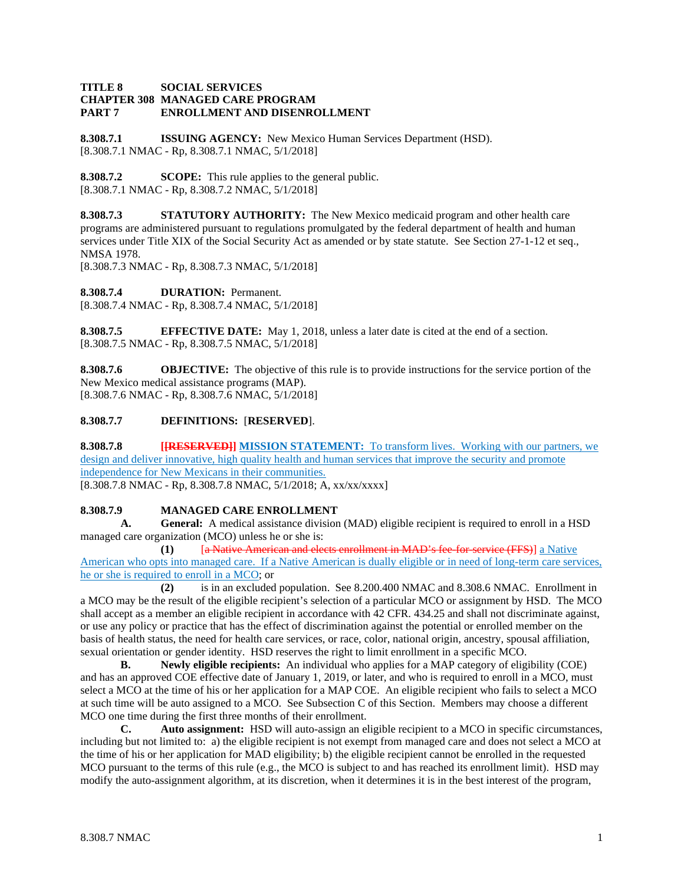#### **TITLE 8 SOCIAL SERVICES CHAPTER 308 MANAGED CARE PROGRAM PART 7 ENROLLMENT AND DISENROLLMENT**

**8.308.7.1 ISSUING AGENCY:** New Mexico Human Services Department (HSD). [8.308.7.1 NMAC - Rp, 8.308.7.1 NMAC, 5/1/2018]

**8.308.7.2 SCOPE:** This rule applies to the general public. [8.308.7.1 NMAC - Rp, 8.308.7.2 NMAC, 5/1/2018]

**8.308.7.3 STATUTORY AUTHORITY:** The New Mexico medicaid program and other health care programs are administered pursuant to regulations promulgated by the federal department of health and human services under Title XIX of the Social Security Act as amended or by state statute. See Section 27-1-12 et seq., NMSA 1978.

[8.308.7.3 NMAC - Rp, 8.308.7.3 NMAC, 5/1/2018]

**8.308.7.4 DURATION:** Permanent. [8.308.7.4 NMAC - Rp, 8.308.7.4 NMAC, 5/1/2018]

**8.308.7.5 EFFECTIVE DATE:** May 1, 2018, unless a later date is cited at the end of a section. [8.308.7.5 NMAC - Rp, 8.308.7.5 NMAC, 5/1/2018]

**8.308.7.6 OBJECTIVE:** The objective of this rule is to provide instructions for the service portion of the New Mexico medical assistance programs (MAP). [8.308.7.6 NMAC - Rp, 8.308.7.6 NMAC, 5/1/2018]

## **8.308.7.7 DEFINITIONS:** [**RESERVED**].

**8.308.7.8 [[RESERVED]] MISSION STATEMENT:** To transform lives. Working with our partners, we design and deliver innovative, high quality health and human services that improve the security and promote independence for New Mexicans in their communities.

[8.308.7.8 NMAC - Rp, 8.308.7.8 NMAC, 5/1/2018; A, xx/xx/xxxx]

### **8.308.7.9 MANAGED CARE ENROLLMENT**

**A. General:** A medical assistance division (MAD) eligible recipient is required to enroll in a HSD managed care organization (MCO) unless he or she is:

**(1)** *[a Native American and elects enrollment in MAD's fee-for-service (FFS)]* **a Native** American who opts into managed care. If a Native American is dually eligible or in need of long-term care services, he or she is required to enroll in a MCO; or

**(2)** is in an excluded population. See 8.200.400 NMAC and 8.308.6 NMAC. Enrollment in a MCO may be the result of the eligible recipient's selection of a particular MCO or assignment by HSD. The MCO shall accept as a member an eligible recipient in accordance with 42 CFR. 434.25 and shall not discriminate against, or use any policy or practice that has the effect of discrimination against the potential or enrolled member on the basis of health status, the need for health care services, or race, color, national origin, ancestry, spousal affiliation, sexual orientation or gender identity. HSD reserves the right to limit enrollment in a specific MCO.<br> **B.** Newly eligible recipients: An individual who applies for a MAP category of eligi

**B. Newly eligible recipients:** An individual who applies for a MAP category of eligibility (COE) and has an approved COE effective date of January 1, 2019, or later, and who is required to enroll in a MCO, must select a MCO at the time of his or her application for a MAP COE. An eligible recipient who fails to select a MCO at such time will be auto assigned to a MCO. See Subsection C of this Section. Members may choose a different MCO one time during the first three months of their enrollment.

**C. Auto assignment:** HSD will auto-assign an eligible recipient to a MCO in specific circumstances, including but not limited to: a) the eligible recipient is not exempt from managed care and does not select a MCO at the time of his or her application for MAD eligibility; b) the eligible recipient cannot be enrolled in the requested MCO pursuant to the terms of this rule (e.g., the MCO is subject to and has reached its enrollment limit). HSD may modify the auto-assignment algorithm, at its discretion, when it determines it is in the best interest of the program,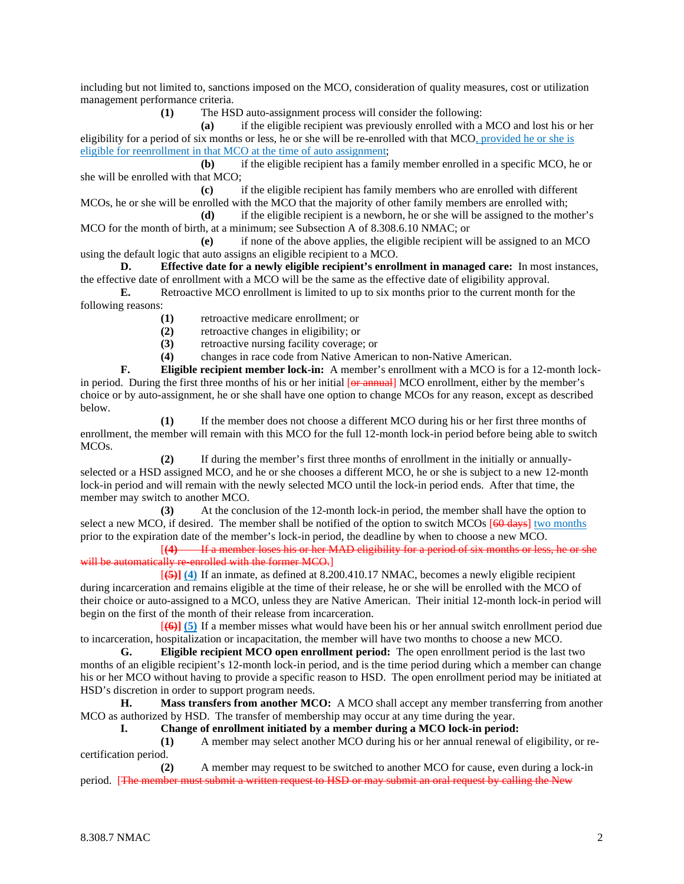including but not limited to, sanctions imposed on the MCO, consideration of quality measures, cost or utilization management performance criteria.

**(1)** The HSD auto-assignment process will consider the following:

**(a)** if the eligible recipient was previously enrolled with a MCO and lost his or her eligibility for a period of six months or less, he or she will be re-enrolled with that MCO, provided he or she is eligible for reenrollment in that MCO at the time of auto assignment;

**(b)** if the eligible recipient has a family member enrolled in a specific MCO, he or she will be enrolled with that MCO;

**(c)** if the eligible recipient has family members who are enrolled with different MCOs, he or she will be enrolled with the MCO that the majority of other family members are enrolled with;

**(d)** if the eligible recipient is a newborn, he or she will be assigned to the mother's MCO for the month of birth, at a minimum; see Subsection A of 8.308.6.10 NMAC; or

**(e)** if none of the above applies, the eligible recipient will be assigned to an MCO using the default logic that auto assigns an eligible recipient to a MCO.

**D. Effective date for a newly eligible recipient's enrollment in managed care:** In most instances, the effective date of enrollment with a MCO will be the same as the effective date of eligibility approval.

**E.** Retroactive MCO enrollment is limited to up to six months prior to the current month for the following reasons:

**(1)** retroactive medicare enrollment; or

**(2)** retroactive changes in eligibility; or

**(3)** retroactive nursing facility coverage; or

**(4)** changes in race code from Native American to non-Native American.

**F. Eligible recipient member lock-in:** A member's enrollment with a MCO is for a 12-month lockin period. During the first three months of his or her initial [or annual] MCO enrollment, either by the member's choice or by auto-assignment, he or she shall have one option to change MCOs for any reason, except as described below.

**(1)** If the member does not choose a different MCO during his or her first three months of enrollment, the member will remain with this MCO for the full 12-month lock-in period before being able to switch MCOs.

**(2)** If during the member's first three months of enrollment in the initially or annuallyselected or a HSD assigned MCO, and he or she chooses a different MCO, he or she is subject to a new 12-month lock-in period and will remain with the newly selected MCO until the lock-in period ends. After that time, the member may switch to another MCO.

**(3)** At the conclusion of the 12-month lock-in period, the member shall have the option to select a new MCO, if desired. The member shall be notified of the option to switch MCOs [60 days] two months prior to the expiration date of the member's lock-in period, the deadline by when to choose a new MCO.

[**(4)** If a member loses his or her MAD eligibility for a period of six months or less, he or she will be automatically re-enrolled with the former MCO.]

[**(5)] (4)** If an inmate, as defined at 8.200.410.17 NMAC, becomes a newly eligible recipient during incarceration and remains eligible at the time of their release, he or she will be enrolled with the MCO of their choice or auto-assigned to a MCO, unless they are Native American. Their initial 12-month lock-in period will begin on the first of the month of their release from incarceration.

[**(6)] (5)** If a member misses what would have been his or her annual switch enrollment period due to incarceration, hospitalization or incapacitation, the member will have two months to choose a new MCO.

**G. Eligible recipient MCO open enrollment period:** The open enrollment period is the last two months of an eligible recipient's 12-month lock-in period, and is the time period during which a member can change his or her MCO without having to provide a specific reason to HSD. The open enrollment period may be initiated at HSD's discretion in order to support program needs.

**H. Mass transfers from another MCO:** A MCO shall accept any member transferring from another MCO as authorized by HSD. The transfer of membership may occur at any time during the year.

**I. Change of enrollment initiated by a member during a MCO lock-in period:**

**(1)** A member may select another MCO during his or her annual renewal of eligibility, or recertification period.

**(2)** A member may request to be switched to another MCO for cause, even during a lock-in period. [The member must submit a written request to HSD or may submit an oral request by calling the New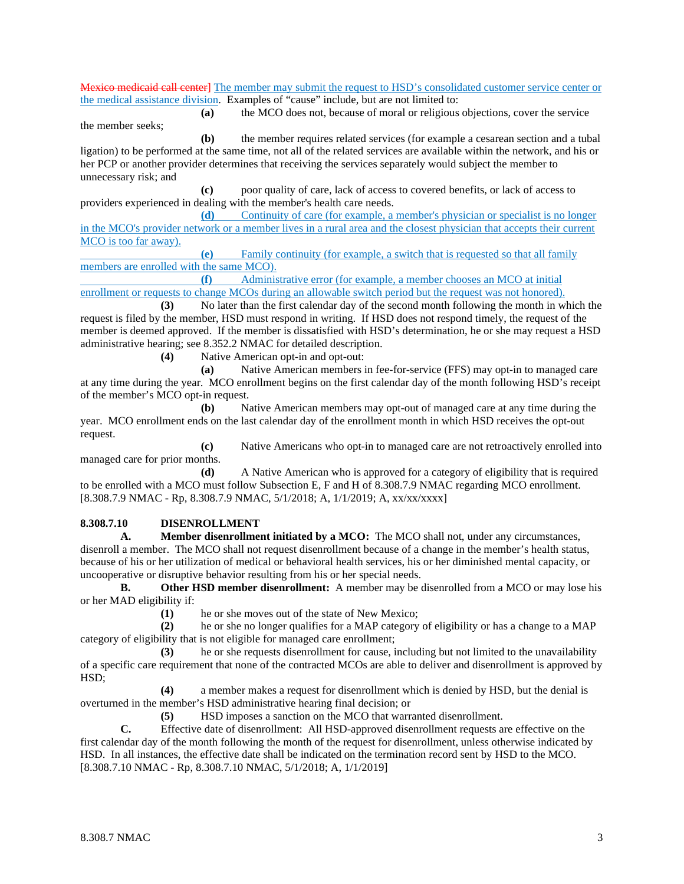Mexico medicaid call center] The member may submit the request to HSD's consolidated customer service center or the medical assistance division. Examples of "cause" include, but are not limited to:

**(a)** the MCO does not, because of moral or religious objections, cover the service

**(b)** the member requires related services (for example a cesarean section and a tubal ligation) to be performed at the same time, not all of the related services are available within the network, and his or her PCP or another provider determines that receiving the services separately would subject the member to unnecessary risk; and

**(c)** poor quality of care, lack of access to covered benefits, or lack of access to providers experienced in dealing with the member's health care needs.

**(d)** Continuity of care (for example, a member's physician or specialist is no longer in the MCO's provider network or a member lives in a rural area and the closest physician that accepts their current MCO is too far away).

**(e)** Family continuity (for example, a switch that is requested so that all family members are enrolled with the same MCO).

**(f)** Administrative error (for example, a member chooses an MCO at initial enrollment or requests to change MCOs during an allowable switch period but the request was not honored).

**(3)** No later than the first calendar day of the second month following the month in which the request is filed by the member, HSD must respond in writing. If HSD does not respond timely, the request of the member is deemed approved. If the member is dissatisfied with HSD's determination, he or she may request a HSD administrative hearing; see 8.352.2 NMAC for detailed description.

**(4)** Native American opt-in and opt-out:

**(a)** Native American members in fee-for-service (FFS) may opt-in to managed care at any time during the year. MCO enrollment begins on the first calendar day of the month following HSD's receipt of the member's MCO opt-in request.

**(b)** Native American members may opt-out of managed care at any time during the year. MCO enrollment ends on the last calendar day of the enrollment month in which HSD receives the opt-out request.

**(c)** Native Americans who opt-in to managed care are not retroactively enrolled into managed care for prior months.

**(d)** A Native American who is approved for a category of eligibility that is required to be enrolled with a MCO must follow Subsection E, F and H of 8.308.7.9 NMAC regarding MCO enrollment. [8.308.7.9 NMAC - Rp, 8.308.7.9 NMAC, 5/1/2018; A, 1/1/2019; A, xx/xx/xxxx]

#### **8.308.7.10 DISENROLLMENT**

the member seeks;

**A. Member disenrollment initiated by a MCO:** The MCO shall not, under any circumstances, disenroll a member. The MCO shall not request disenrollment because of a change in the member's health status, because of his or her utilization of medical or behavioral health services, his or her diminished mental capacity, or uncooperative or disruptive behavior resulting from his or her special needs.

**B. Other HSD member disenrollment:** A member may be disenrolled from a MCO or may lose his or her MAD eligibility if:

(1) he or she moves out of the state of New Mexico;<br>(2) he or she no longer qualifies for a MAP category

**(2)** he or she no longer qualifies for a MAP category of eligibility or has a change to a MAP category of eligibility that is not eligible for managed care enrollment;

**(3)** he or she requests disenrollment for cause, including but not limited to the unavailability of a specific care requirement that none of the contracted MCOs are able to deliver and disenrollment is approved by HSD;

**(4)** a member makes a request for disenrollment which is denied by HSD, but the denial is overturned in the member's HSD administrative hearing final decision; or

**(5)** HSD imposes a sanction on the MCO that warranted disenrollment.

**C.** Effective date of disenrollment: All HSD-approved disenrollment requests are effective on the first calendar day of the month following the month of the request for disenrollment, unless otherwise indicated by HSD. In all instances, the effective date shall be indicated on the termination record sent by HSD to the MCO. [8.308.7.10 NMAC - Rp, 8.308.7.10 NMAC, 5/1/2018; A, 1/1/2019]